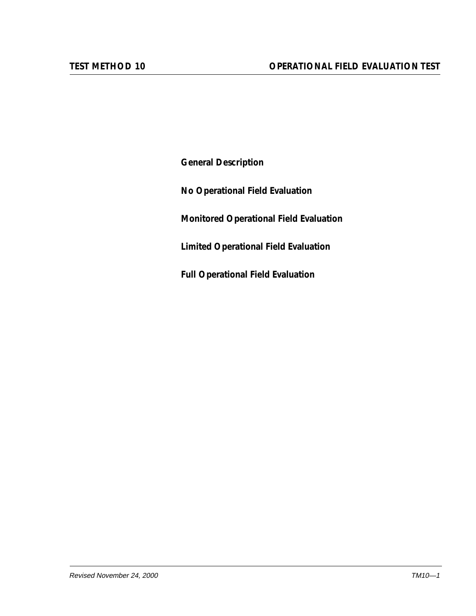**General Description**

**No Operational Field Evaluation**

**Monitored Operational Field Evaluation**

**Limited Operational Field Evaluation**

**Full Operational Field Evaluation**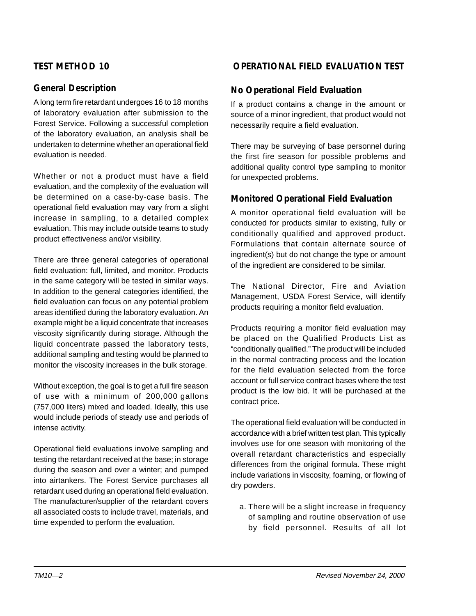### **General Description**

A long term fire retardant undergoes 16 to 18 months of laboratory evaluation after submission to the Forest Service. Following a successful completion of the laboratory evaluation, an analysis shall be undertaken to determine whether an operational field evaluation is needed.

Whether or not a product must have a field evaluation, and the complexity of the evaluation will be determined on a case-by-case basis. The operational field evaluation may vary from a slight increase in sampling, to a detailed complex evaluation. This may include outside teams to study product effectiveness and/or visibility.

There are three general categories of operational field evaluation: full, limited, and monitor. Products in the same category will be tested in similar ways. In addition to the general categories identified, the field evaluation can focus on any potential problem areas identified during the laboratory evaluation. An example might be a liquid concentrate that increases viscosity significantly during storage. Although the liquid concentrate passed the laboratory tests, additional sampling and testing would be planned to monitor the viscosity increases in the bulk storage.

Without exception, the goal is to get a full fire season of use with a minimum of 200,000 gallons (757,000 liters) mixed and loaded. Ideally, this use would include periods of steady use and periods of intense activity.

Operational field evaluations involve sampling and testing the retardant received at the base; in storage during the season and over a winter; and pumped into airtankers. The Forest Service purchases all retardant used during an operational field evaluation. The manufacturer/supplier of the retardant covers all associated costs to include travel, materials, and time expended to perform the evaluation.

### **No Operational Field Evaluation**

If a product contains a change in the amount or source of a minor ingredient, that product would not necessarily require a field evaluation.

There may be surveying of base personnel during the first fire season for possible problems and additional quality control type sampling to monitor for unexpected problems.

# **Monitored Operational Field Evaluation**

A monitor operational field evaluation will be conducted for products similar to existing, fully or conditionally qualified and approved product. Formulations that contain alternate source of ingredient(s) but do not change the type or amount of the ingredient are considered to be similar.

The National Director, Fire and Aviation Management, USDA Forest Service, will identify products requiring a monitor field evaluation.

Products requiring a monitor field evaluation may be placed on the Qualified Products List as "conditionally qualified." The product will be included in the normal contracting process and the location for the field evaluation selected from the force account or full service contract bases where the test product is the low bid. It will be purchased at the contract price.

The operational field evaluation will be conducted in accordance with a brief written test plan. This typically involves use for one season with monitoring of the overall retardant characteristics and especially differences from the original formula. These might include variations in viscosity, foaming, or flowing of dry powders.

a. There will be a slight increase in frequency of sampling and routine observation of use by field personnel. Results of all lot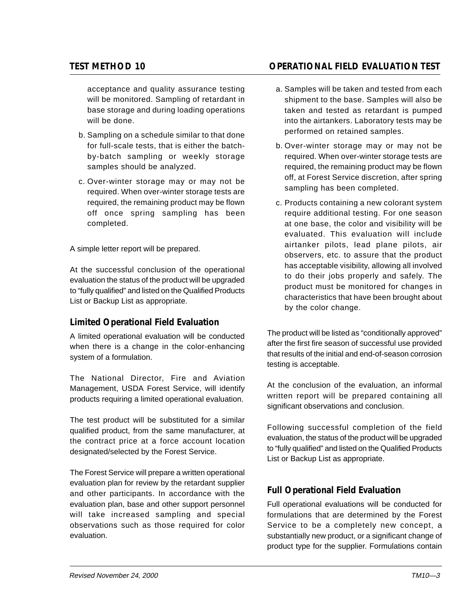acceptance and quality assurance testing will be monitored. Sampling of retardant in base storage and during loading operations will be done.

- b. Sampling on a schedule similar to that done for full-scale tests, that is either the batchby-batch sampling or weekly storage samples should be analyzed.
- c. Over-winter storage may or may not be required. When over-winter storage tests are required, the remaining product may be flown off once spring sampling has been completed.

A simple letter report will be prepared.

At the successful conclusion of the operational evaluation the status of the product will be upgraded to "fully qualified" and listed on the Qualified Products List or Backup List as appropriate.

### **Limited Operational Field Evaluation**

A limited operational evaluation will be conducted when there is a change in the color-enhancing system of a formulation.

The National Director, Fire and Aviation Management, USDA Forest Service, will identify products requiring a limited operational evaluation.

The test product will be substituted for a similar qualified product, from the same manufacturer, at the contract price at a force account location designated/selected by the Forest Service.

The Forest Service will prepare a written operational evaluation plan for review by the retardant supplier and other participants. In accordance with the evaluation plan, base and other support personnel will take increased sampling and special observations such as those required for color evaluation.

# **TEST METHOD 10 OPERATIONAL FIELD EVALUATION TEST**

- a. Samples will be taken and tested from each shipment to the base. Samples will also be taken and tested as retardant is pumped into the airtankers. Laboratory tests may be performed on retained samples.
- b. Over-winter storage may or may not be required. When over-winter storage tests are required, the remaining product may be flown off, at Forest Service discretion, after spring sampling has been completed.
- c. Products containing a new colorant system require additional testing. For one season at one base, the color and visibility will be evaluated. This evaluation will include airtanker pilots, lead plane pilots, air observers, etc. to assure that the product has acceptable visibility, allowing all involved to do their jobs properly and safely. The product must be monitored for changes in characteristics that have been brought about by the color change.

The product will be listed as "conditionally approved" after the first fire season of successful use provided that results of the initial and end-of-season corrosion testing is acceptable.

At the conclusion of the evaluation, an informal written report will be prepared containing all significant observations and conclusion.

Following successful completion of the field evaluation, the status of the product will be upgraded to "fully qualified" and listed on the Qualified Products List or Backup List as appropriate.

### **Full Operational Field Evaluation**

Full operational evaluations will be conducted for formulations that are determined by the Forest Service to be a completely new concept, a substantially new product, or a significant change of product type for the supplier. Formulations contain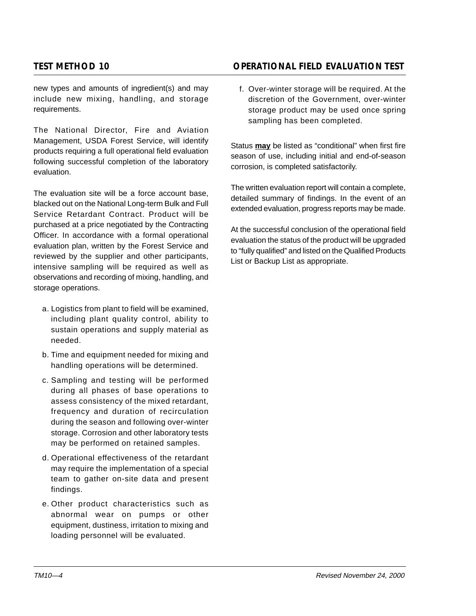new types and amounts of ingredient(s) and may include new mixing, handling, and storage requirements.

The National Director, Fire and Aviation Management, USDA Forest Service, will identify products requiring a full operational field evaluation following successful completion of the laboratory evaluation.

The evaluation site will be a force account base, blacked out on the National Long-term Bulk and Full Service Retardant Contract. Product will be purchased at a price negotiated by the Contracting Officer. In accordance with a formal operational evaluation plan, written by the Forest Service and reviewed by the supplier and other participants, intensive sampling will be required as well as observations and recording of mixing, handling, and storage operations.

- a. Logistics from plant to field will be examined, including plant quality control, ability to sustain operations and supply material as needed.
- b. Time and equipment needed for mixing and handling operations will be determined.
- c. Sampling and testing will be performed during all phases of base operations to assess consistency of the mixed retardant, frequency and duration of recirculation during the season and following over-winter storage. Corrosion and other laboratory tests may be performed on retained samples.
- d. Operational effectiveness of the retardant may require the implementation of a special team to gather on-site data and present findings.
- e. Other product characteristics such as abnormal wear on pumps or other equipment, dustiness, irritation to mixing and loading personnel will be evaluated.

# **TEST METHOD 10 OPERATIONAL FIELD EVALUATION TEST**

f. Over-winter storage will be required. At the discretion of the Government, over-winter storage product may be used once spring sampling has been completed.

Status **may** be listed as "conditional" when first fire season of use, including initial and end-of-season corrosion, is completed satisfactorily.

The written evaluation report will contain a complete, detailed summary of findings. In the event of an extended evaluation, progress reports may be made.

At the successful conclusion of the operational field evaluation the status of the product will be upgraded to "fully qualified" and listed on the Qualified Products List or Backup List as appropriate.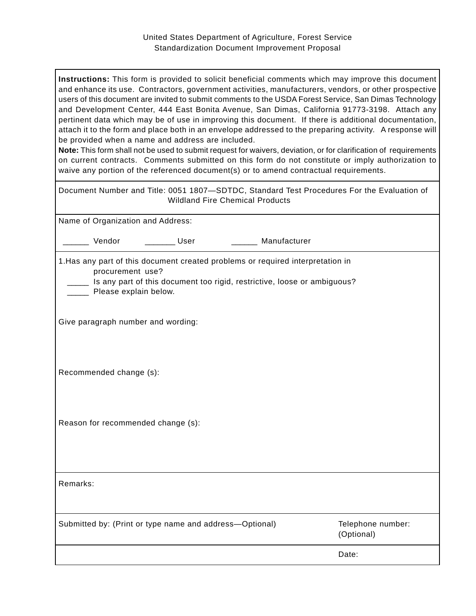United States Department of Agriculture, Forest Service Standardization Document Improvement Proposal

| <b>Instructions:</b> This form is provided to solicit beneficial comments which may improve this document<br>and enhance its use. Contractors, government activities, manufacturers, vendors, or other prospective<br>users of this document are invited to submit comments to the USDA Forest Service, San Dimas Technology<br>and Development Center, 444 East Bonita Avenue, San Dimas, California 91773-3198. Attach any<br>pertinent data which may be of use in improving this document. If there is additional documentation,<br>attach it to the form and place both in an envelope addressed to the preparing activity. A response will<br>be provided when a name and address are included.<br>Note: This form shall not be used to submit request for waivers, deviation, or for clarification of requirements<br>on current contracts. Comments submitted on this form do not constitute or imply authorization to<br>waive any portion of the referenced document(s) or to amend contractual requirements. |  |              |                                 |
|-------------------------------------------------------------------------------------------------------------------------------------------------------------------------------------------------------------------------------------------------------------------------------------------------------------------------------------------------------------------------------------------------------------------------------------------------------------------------------------------------------------------------------------------------------------------------------------------------------------------------------------------------------------------------------------------------------------------------------------------------------------------------------------------------------------------------------------------------------------------------------------------------------------------------------------------------------------------------------------------------------------------------|--|--------------|---------------------------------|
| Document Number and Title: 0051 1807-SDTDC, Standard Test Procedures For the Evaluation of<br><b>Wildland Fire Chemical Products</b>                                                                                                                                                                                                                                                                                                                                                                                                                                                                                                                                                                                                                                                                                                                                                                                                                                                                                    |  |              |                                 |
| Name of Organization and Address:                                                                                                                                                                                                                                                                                                                                                                                                                                                                                                                                                                                                                                                                                                                                                                                                                                                                                                                                                                                       |  |              |                                 |
| Vendor<br><b>User</b>                                                                                                                                                                                                                                                                                                                                                                                                                                                                                                                                                                                                                                                                                                                                                                                                                                                                                                                                                                                                   |  | Manufacturer |                                 |
| 1. Has any part of this document created problems or required interpretation in<br>procurement use?<br>_ Is any part of this document too rigid, restrictive, loose or ambiguous?<br>Please explain below.                                                                                                                                                                                                                                                                                                                                                                                                                                                                                                                                                                                                                                                                                                                                                                                                              |  |              |                                 |
| Give paragraph number and wording:                                                                                                                                                                                                                                                                                                                                                                                                                                                                                                                                                                                                                                                                                                                                                                                                                                                                                                                                                                                      |  |              |                                 |
| Recommended change (s):                                                                                                                                                                                                                                                                                                                                                                                                                                                                                                                                                                                                                                                                                                                                                                                                                                                                                                                                                                                                 |  |              |                                 |
| Reason for recommended change (s):                                                                                                                                                                                                                                                                                                                                                                                                                                                                                                                                                                                                                                                                                                                                                                                                                                                                                                                                                                                      |  |              |                                 |
| Remarks:                                                                                                                                                                                                                                                                                                                                                                                                                                                                                                                                                                                                                                                                                                                                                                                                                                                                                                                                                                                                                |  |              |                                 |
| Submitted by: (Print or type name and address-Optional)                                                                                                                                                                                                                                                                                                                                                                                                                                                                                                                                                                                                                                                                                                                                                                                                                                                                                                                                                                 |  |              | Telephone number:<br>(Optional) |
|                                                                                                                                                                                                                                                                                                                                                                                                                                                                                                                                                                                                                                                                                                                                                                                                                                                                                                                                                                                                                         |  |              | Date:                           |